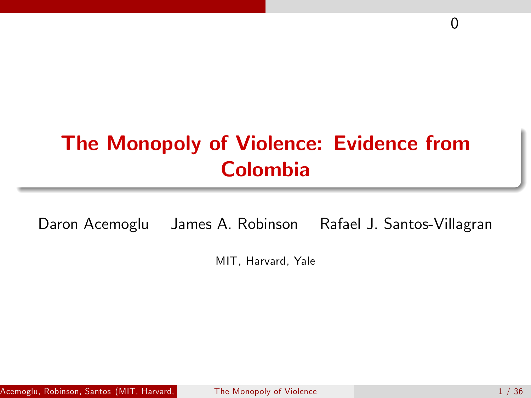# The Monopoly of Violence: Evidence from Colombia

Daron Acemoglu James A. Robinson Rafael J. Santos-Villagran

<span id="page-0-0"></span>MIT, Harvard, Yale

0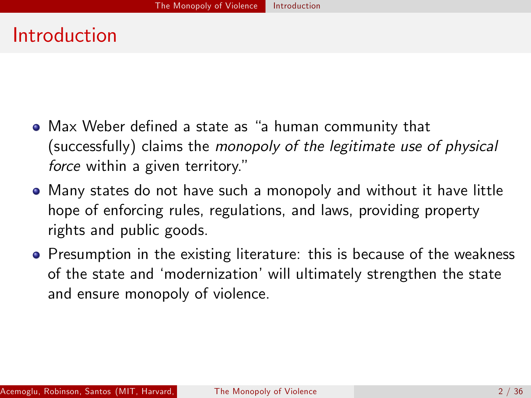#### Introduction

- Max Weber defined a state as "a human community that (successfully) claims the monopoly of the legitimate use of physical force within a given territory."
- Many states do not have such a monopoly and without it have little hope of enforcing rules, regulations, and laws, providing property rights and public goods.
- Presumption in the existing literature: this is because of the weakness of the state and 'modernization' will ultimately strengthen the state and ensure monopoly of violence.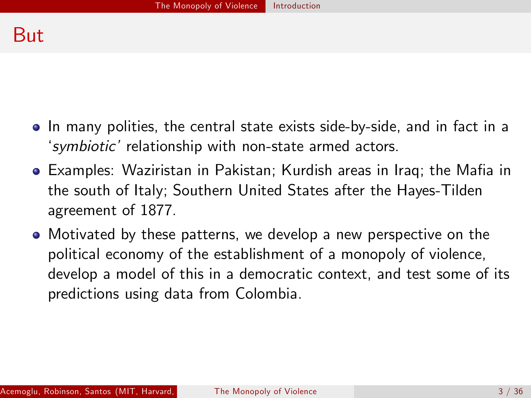#### But

- In many polities, the central state exists side-by-side, and in fact in a 'symbiotic' relationship with non-state armed actors.
- Examples: Waziristan in Pakistan; Kurdish areas in Iraq; the Mafia in the south of Italy; Southern United States after the Hayes-Tilden agreement of 1877.
- Motivated by these patterns, we develop a new perspective on the political economy of the establishment of a monopoly of violence, develop a model of this in a democratic context, and test some of its predictions using data from Colombia.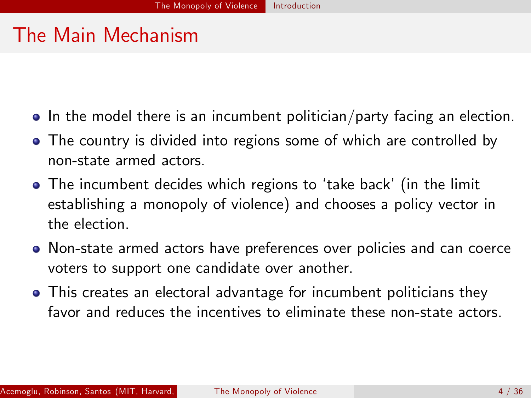# The Main Mechanism

- In the model there is an incumbent politician/party facing an election.
- The country is divided into regions some of which are controlled by non-state armed actors.
- The incumbent decides which regions to 'take back' (in the limit establishing a monopoly of violence) and chooses a policy vector in the election.
- Non-state armed actors have preferences over policies and can coerce voters to support one candidate over another.
- This creates an electoral advantage for incumbent politicians they favor and reduces the incentives to eliminate these non-state actors.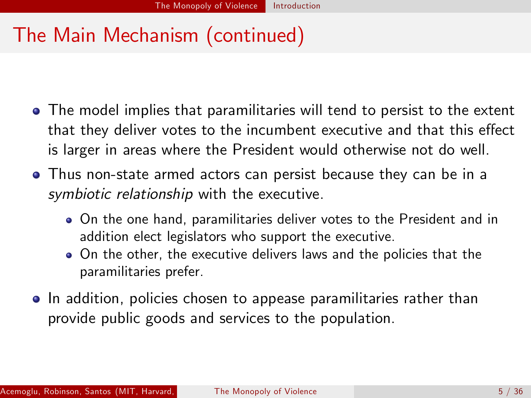# The Main Mechanism (continued)

- The model implies that paramilitaries will tend to persist to the extent that they deliver votes to the incumbent executive and that this effect is larger in areas where the President would otherwise not do well.
- Thus non-state armed actors can persist because they can be in a symbiotic relationship with the executive.
	- On the one hand, paramilitaries deliver votes to the President and in addition elect legislators who support the executive.
	- On the other, the executive delivers laws and the policies that the paramilitaries prefer.
- In addition, policies chosen to appease paramilitaries rather than provide public goods and services to the population.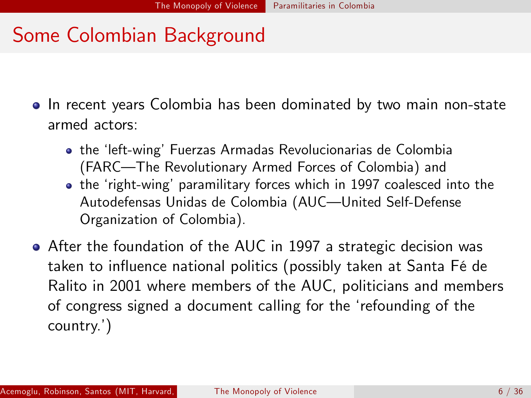#### Some Colombian Background

- In recent years Colombia has been dominated by two main non-state armed actors:
	- **•** the 'left-wing' Fuerzas Armadas Revolucionarias de Colombia (FARC-The Revolutionary Armed Forces of Colombia) and
	- the 'right-wing' paramilitary forces which in 1997 coalesced into the Autodefensas Unidas de Colombia (AUC-United Self-Defense Organization of Colombia).
- After the foundation of the AUC in 1997 a strategic decision was taken to influence national politics (possibly taken at Santa Fé de Ralito in 2001 where members of the AUC, politicians and members of congress signed a document calling for the 'refounding of the country.')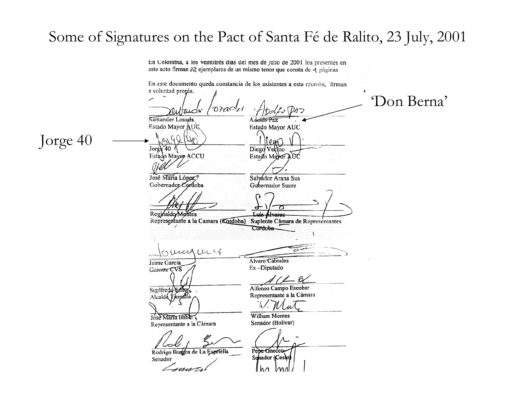# Some of Signatures on the Pact of Santa Fé de Ralito, 23 July, 2001

En Colombia, a los veintitrés dias del mes de julio de 2001 los presentes en este acto firman 32 ejemplares de un mismo tenor que consta de 4 páginas

En este documento queda constancia de los asistentes a esta reunión, firman

a voluntad propia. 'Don Berna'  $\overline{orac}_i$ Santander Losada Adolfo Paz Estado Mayor AUG Estado Mayor AUC Jorge 40 $\rho$ un Jor $6k$  40 Diego Vecino Estado Mayor AUC Estado Mayor ACCU José Maria López? Salyador Arana Sus Gobernador Cordoba Gobernador Sucre Reginaldo/Montes Luis Alvarez Representante a la Camara (Cordoba) Suplente Cámara de Representantes Cord<del>oba</del> numanaccio Alvaro Cabrales Jaime Garcia Ex-Diputado Cerente<sup>-</sup>CVS Alfonso Campo Escobar Sigilfredd Senor Representante a la Cámara Alcalde Terratta William Montes Jose Maria Imber Senador (Bolivar) Representante a la Cámara Pepe Gnecco Rodrigo Burgos de La Espriella Schador (Cesar) Senador th $\Lambda$ MЛ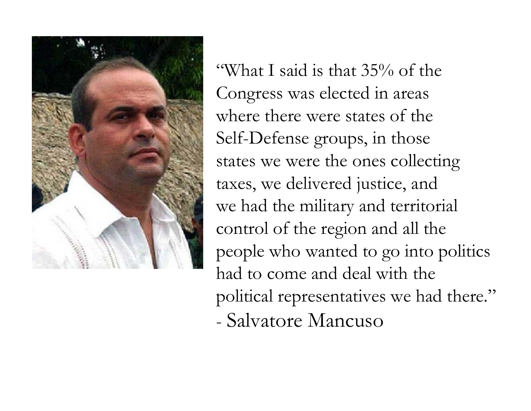

"What I said is that 35% of the Congress was elected in areas where there were states of the Self-Defense groups, in those states we were the ones collecting taxes, we delivered justice, and we had the military and territorial control of the region and all the people who wanted to go into politics had to come and deal with the political representatives we had there." - Salvatore Mancuso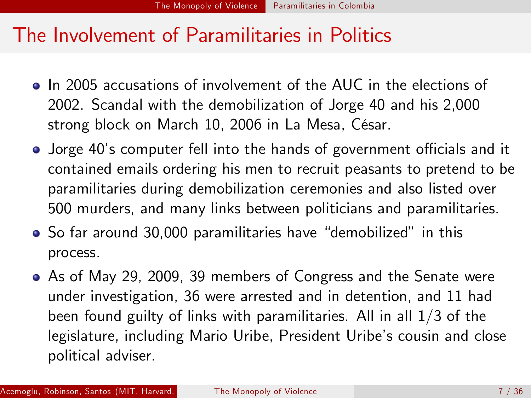#### The Involvement of Paramilitaries in Politics

- In 2005 accusations of involvement of the AUC in the elections of 2002. Scandal with the demobilization of Jorge 40 and his 2,000 strong block on March 10, 2006 in La Mesa, César.
- Jorge 40's computer fell into the hands of government officials and it contained emails ordering his men to recruit peasants to pretend to be paramilitaries during demobilization ceremonies and also listed over 500 murders, and many links between politicians and paramilitaries.
- So far around 30,000 paramilitaries have "demobilized" in this process.
- As of May 29, 2009, 39 members of Congress and the Senate were under investigation, 36 were arrested and in detention, and 11 had been found guilty of links with paramilitaries. All in all 1/3 of the legislature, including Mario Uribe, President Uribe's cousin and close political adviser.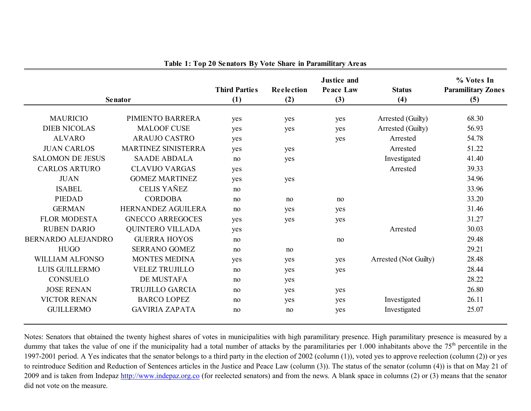|                         |                         | <b>Third Parties</b> | <b>Reelection</b> | <b>Justice and</b><br><b>Peace Law</b> | <b>Status</b>         | % Votes In<br><b>Paramilitary Zones</b> |
|-------------------------|-------------------------|----------------------|-------------------|----------------------------------------|-----------------------|-----------------------------------------|
| <b>Senator</b>          | (1)                     | (2)                  | (3)               | (4)                                    | (5)                   |                                         |
| <b>MAURICIO</b>         | PIMIENTO BARRERA        | yes                  | yes               | yes                                    | Arrested (Guilty)     | 68.30                                   |
| <b>DIEB NICOLAS</b>     | <b>MALOOF CUSE</b>      | yes                  | yes               | yes                                    | Arrested (Guilty)     | 56.93                                   |
| <b>ALVARO</b>           | <b>ARAUJO CASTRO</b>    | yes                  |                   | yes                                    | Arrested              | 54.78                                   |
| <b>JUAN CARLOS</b>      | MARTINEZ SINISTERRA     | yes                  | yes               |                                        | Arrested              | 51.22                                   |
| <b>SALOMON DE JESUS</b> | <b>SAADE ABDALA</b>     | no                   | yes               |                                        | Investigated          | 41.40                                   |
| <b>CARLOS ARTURO</b>    | <b>CLAVIJO VARGAS</b>   | yes                  |                   |                                        | Arrested              | 39.33                                   |
| <b>JUAN</b>             | <b>GOMEZ MARTINEZ</b>   | yes                  | yes               |                                        |                       | 34.96                                   |
| <b>ISABEL</b>           | <b>CELIS YAÑEZ</b>      | no                   |                   |                                        |                       | 33.96                                   |
| PIEDAD                  | <b>CORDOBA</b>          | no                   | no                | no                                     |                       | 33.20                                   |
| <b>GERMAN</b>           | HERNANDEZ AGUILERA      | no                   | yes               | yes                                    |                       | 31.46                                   |
| <b>FLOR MODESTA</b>     | <b>GNECCO ARREGOCES</b> | yes                  | yes               | yes                                    |                       | 31.27                                   |
| <b>RUBEN DARIO</b>      | <b>QUINTERO VILLADA</b> | yes                  |                   |                                        | Arrested              | 30.03                                   |
| BERNARDO ALEJANDRO      | <b>GUERRA HOYOS</b>     | no                   |                   | no                                     |                       | 29.48                                   |
| <b>HUGO</b>             | <b>SERRANO GOMEZ</b>    | no                   | no                |                                        |                       | 29.21                                   |
| <b>WILLIAM ALFONSO</b>  | <b>MONTES MEDINA</b>    | yes                  | yes               | yes                                    | Arrested (Not Guilty) | 28.48                                   |
| LUIS GUILLERMO          | <b>VELEZ TRUJILLO</b>   | no                   | yes               | yes                                    |                       | 28.44                                   |
| CONSUELO                | <b>DE MUSTAFA</b>       | no                   | yes               |                                        |                       | 28.22                                   |
| <b>JOSE RENAN</b>       | TRUJILLO GARCIA         | no                   | yes               | yes                                    |                       | 26.80                                   |
| <b>VICTOR RENAN</b>     | <b>BARCO LOPEZ</b>      | no                   | yes               | yes                                    | Investigated          | 26.11                                   |
| <b>GUILLERMO</b>        | <b>GAVIRIA ZAPATA</b>   | no                   | no                | yes                                    | Investigated          | 25.07                                   |

**Table 1: Top 20 Senators By Vote Share in Paramilitary Areas**

Notes: Senators that obtained the twenty highest shares of votes in municipalities with high paramilitary presence. High paramilitary presence is measured by a dummy that takes the value of one if the municipality had a total number of attacks by the paramilitaries per 1.000 inhabitants above the 75<sup>th</sup> percentile in the 1997-2001 period. A Yes indicates that the senator belongs to a third party in the election of 2002 (column (1)), voted yes to approve reelection (column (2)) or yes to reintroduce Sedition and Reduction of Sentences articles in the Justice and Peace Law (column (3)). The status of the senator (column (4)) is that on May 21 of 2009 and is taken from Indepaz [http://www.indepaz.org.c](http://www.indepaz.org.co/)o (for reelected senators) and from the news. A blank space in columns (2) or (3) means that the senator did not vote on the measure.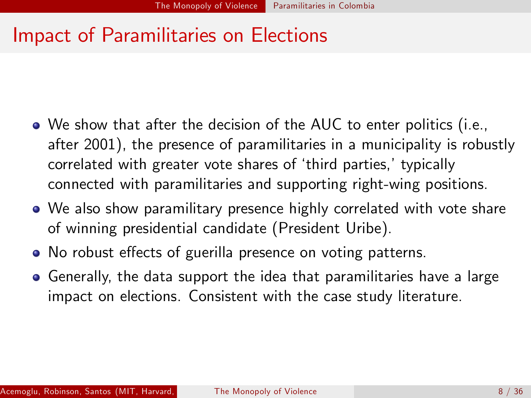#### Impact of Paramilitaries on Elections

- We show that after the decision of the AUC to enter politics (i.e., after 2001), the presence of paramilitaries in a municipality is robustly correlated with greater vote shares of 'third parties,' typically connected with paramilitaries and supporting right-wing positions.
- We also show paramilitary presence highly correlated with vote share of winning presidential candidate (President Uribe).
- No robust effects of guerilla presence on voting patterns.
- Generally, the data support the idea that paramilitaries have a large impact on elections. Consistent with the case study literature.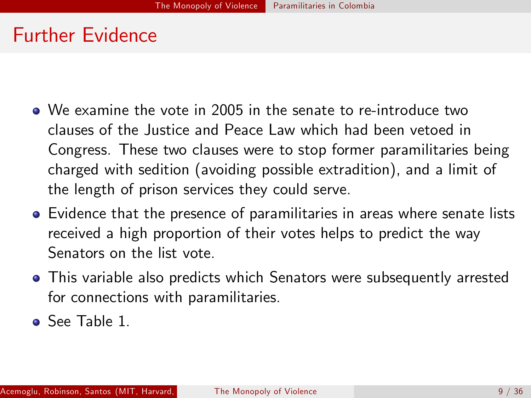#### Further Evidence

- We examine the vote in 2005 in the senate to re-introduce two clauses of the Justice and Peace Law which had been vetoed in Congress. These two clauses were to stop former paramilitaries being charged with sedition (avoiding possible extradition), and a limit of the length of prison services they could serve.
- Evidence that the presence of paramilitaries in areas where senate lists received a high proportion of their votes helps to predict the way Senators on the list vote.
- This variable also predicts which Senators were subsequently arrested for connections with paramilitaries.
- See Table 1.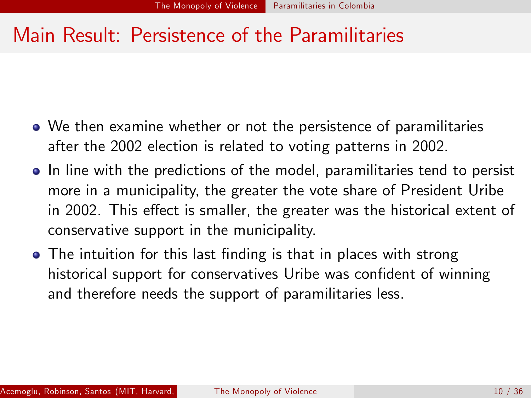#### Main Result: Persistence of the Paramilitaries

- We then examine whether or not the persistence of paramilitaries after the 2002 election is related to voting patterns in 2002.
- In line with the predictions of the model, paramilitaries tend to persist more in a municipality, the greater the vote share of President Uribe in 2002. This effect is smaller, the greater was the historical extent of conservative support in the municipality.
- The intuition for this last finding is that in places with strong historical support for conservatives Uribe was confident of winning and therefore needs the support of paramilitaries less.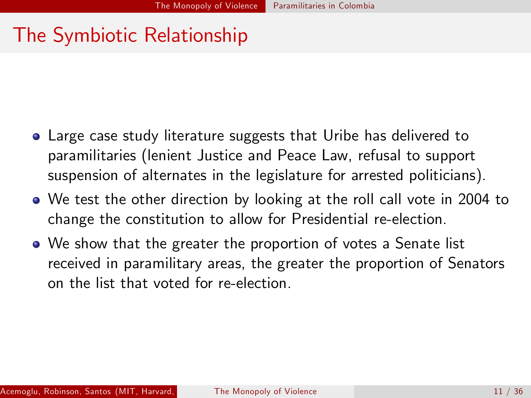### The Symbiotic Relationship

- Large case study literature suggests that Uribe has delivered to paramilitaries (lenient Justice and Peace Law, refusal to support suspension of alternates in the legislature for arrested politicians).
- We test the other direction by looking at the roll call vote in 2004 to change the constitution to allow for Presidential re-election.
- We show that the greater the proportion of votes a Senate list received in paramilitary areas, the greater the proportion of Senators on the list that voted for re-election.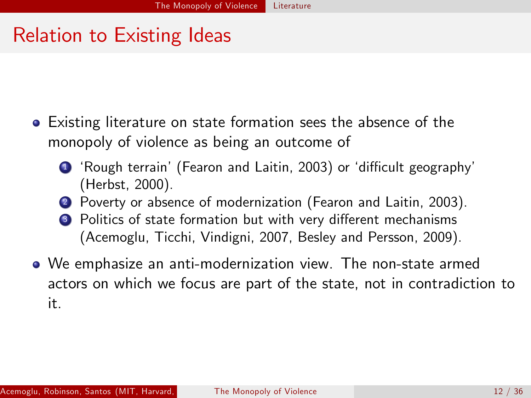#### Relation to Existing Ideas

- Existing literature on state formation sees the absence of the monopoly of violence as being an outcome of
	- 1 'Rough terrain' (Fearon and Laitin, 2003) or 'difficult geography' (Herbst, 2000).
	- <sup>2</sup> Poverty or absence of modernization (Fearon and Laitin, 2003).
	- <sup>3</sup> Politics of state formation but with very different mechanisms (Acemoglu, Ticchi, Vindigni, 2007, Besley and Persson, 2009).
- We emphasize an anti-modernization view. The non-state armed actors on which we focus are part of the state, not in contradiction to it.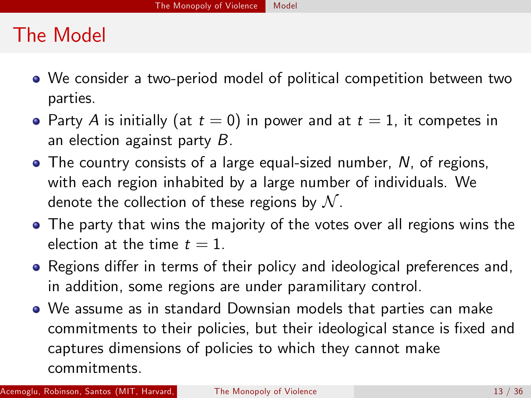# The Model

- We consider a two-period model of political competition between two parties.
- Party A is initially (at  $t = 0$ ) in power and at  $t = 1$ , it competes in an election against party B.
- The country consists of a large equal-sized number, N, of regions, with each region inhabited by a large number of individuals. We denote the collection of these regions by  $\mathcal N$ .
- The party that wins the majority of the votes over all regions wins the election at the time  $t = 1$ .
- Regions differ in terms of their policy and ideological preferences and, in addition, some regions are under paramilitary control.
- We assume as in standard Downsian models that parties can make commitments to their policies, but their ideological stance is fixed and captures dimensions of policies to which they cannot make commitments.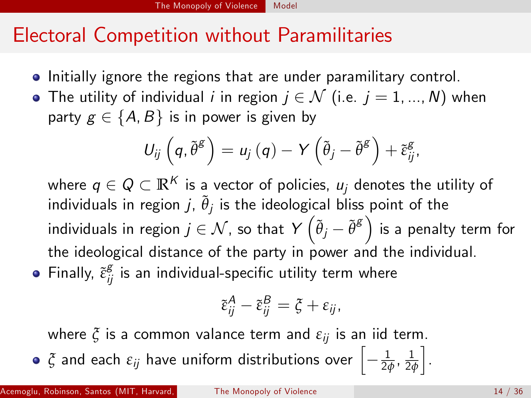# Electoral Competition without Paramilitaries

- **•** Initially ignore the regions that are under paramilitary control.
- The utility of individual *i* in region  $j \in \mathcal{N}$  (i.e.  $j = 1, ..., N$ ) when party  $g \in \{A, B\}$  is in power is given by

$$
U_{ij}\left(q,\tilde{\theta}^{\mathcal{E}}\right)=u_j\left(q\right)-Y\left(\tilde{\theta}_j-\tilde{\theta}^{\mathcal{E}}\right)+\tilde{\varepsilon}_{ij}^{\mathcal{E}},
$$

where  $q \in Q \subset \mathbb{R}^K$  is a vector of policies,  $u_i$  denotes the utility of individuals in region  $j$ ,  $\tilde{\theta}_j$  is the ideological bliss point of the individuals in region  $j\in\mathcal{N}$  , so that  $Y\left(\tilde{\theta}_j-\tilde{\theta}^{\mathcal{S}}\right)$  is a penalty term for the ideological distance of the party in power and the individual. Finally,  $\tilde{\varepsilon}^{\rm g}_{ij}$  is an individual-specific utility term where

$$
\tilde{\varepsilon}_{ij}^A-\tilde{\varepsilon}_{ij}^B=\xi+\varepsilon_{ij},
$$

where  $\xi$  is a common valance term and  $\varepsilon_{ij}$  is an iid term.

 $\tilde{\zeta}$  and each  $\varepsilon_{ij}$  have uniform distributions over  $\left[-\frac{1}{2\phi},\frac{1}{2\phi}\right]$ 2*φ*

i .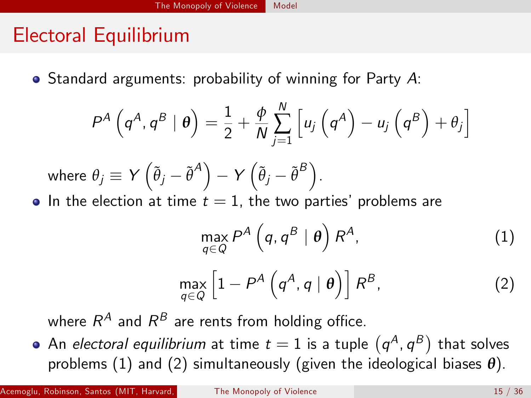# Electoral Equilibrium

 $\bullet$  Standard arguments: probability of winning for Party A:

$$
P^{A}\left(q^{A},q^{B} | \theta\right)=\frac{1}{2}+\frac{\phi}{N}\sum_{j=1}^{N}\left[u_{j}\left(q^{A}\right)-u_{j}\left(q^{B}\right)+\theta_{j}\right]
$$

where 
$$
\theta_j \equiv Y(\tilde{\theta}_j - \tilde{\theta}^A) - Y(\tilde{\theta}_j - \tilde{\theta}^B)
$$
.

• In the election at time  $t = 1$ , the two parties' problems are

<span id="page-17-1"></span><span id="page-17-0"></span>
$$
\max_{q \in Q} P^A \left( q, q^B \mid \boldsymbol{\theta} \right) R^A, \tag{1}
$$

$$
\max_{q \in Q} \left[ 1 - P^A \left( q^A, q \mid \theta \right) \right] R^B, \tag{2}
$$

where  $R^A$  and  $R^B$  are rents from holding office.

An *electoral equilibrium* at time  $t=1$  is a tuple  $(q^A,q^B)$  that solves problems [\(1\)](#page-17-0) and [\(2\)](#page-17-1) simultaneously (given the ideological biases *θ*).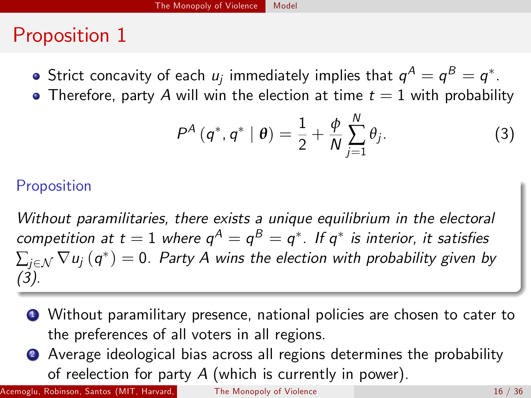# Proposition 1

- Strict concavity of each  $\mu_j$  immediately implies that  $\mathbb{q}^A = \mathbb{q}^B = \mathbb{q}^*.$
- Therefore, party A will win the election at time  $t = 1$  with probability

<span id="page-18-0"></span>
$$
P^{A} (q^{*}, q^{*} | \theta) = \frac{1}{2} + \frac{\phi}{N} \sum_{j=1}^{N} \theta_{j}.
$$
 (3)

#### Proposition

Without paramilitaries, there exists a unique equilibrium in the electoral competition at  $t=1$  where  $\mathsf{q}^\mathsf{A}=\mathsf{q}^\mathsf{B}=\mathsf{q}^*$ . If  $\mathsf{q}^*$  is interior, it satisfies  $\sum_{j\in\mathcal{N}}\nabla u_j\left(q^*\right)=0.$  Party A wins the election with probability given by [\(3\)](#page-18-0).

- <sup>1</sup> Without paramilitary presence, national policies are chosen to cater to the preferences of all voters in all regions.
- <sup>2</sup> Average ideological bias across all regions determines the probability of reelection for party  $A$  (which is currently in power).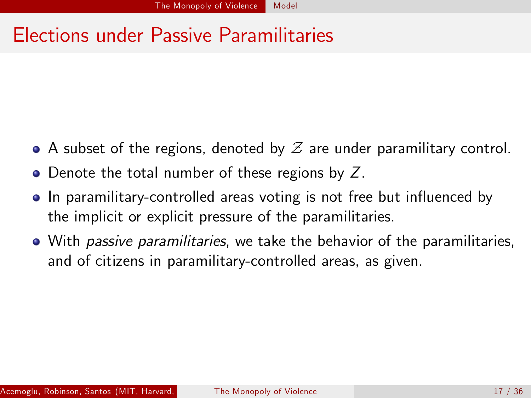# Elections under Passive Paramilitaries

- $\bullet$  A subset of the regions, denoted by  $\mathcal Z$  are under paramilitary control.
- Denote the total number of these regions by Z.
- In paramilitary-controlled areas voting is not free but influenced by the implicit or explicit pressure of the paramilitaries.
- With *passive paramilitaries*, we take the behavior of the paramilitaries, and of citizens in paramilitary-controlled areas, as given.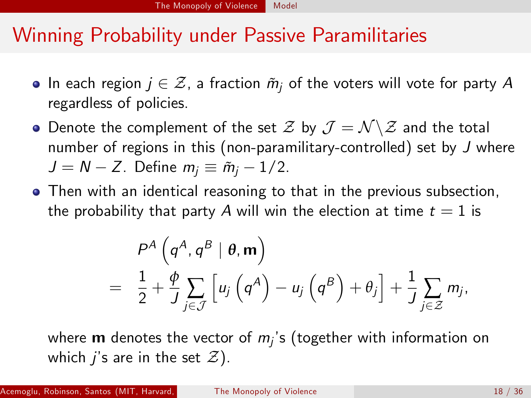#### Winning Probability under Passive Paramilitaries

- $\bullet$  In each region  $j \in \mathcal{Z}$ , a fraction  $\tilde{m}_i$  of the voters will vote for party A regardless of policies.
- Denote the complement of the set  $\mathcal Z$  by  $\mathcal J = \mathcal N \backslash \mathcal Z$  and the total number of regions in this (non-paramilitary-controlled) set by J where  $J = N - Z$ . Define  $m_i \equiv \tilde{m}_i - 1/2$ .
- Then with an identical reasoning to that in the previous subsection, the probability that party A will win the election at time  $t = 1$  is

$$
P^{A}\left(q^{A},q^{B} | \theta, \mathbf{m}\right) = \frac{1}{2} + \frac{\phi}{J} \sum_{j \in J} \left[ u_{j}\left(q^{A}\right) - u_{j}\left(q^{B}\right) + \theta_{j}\right] + \frac{1}{J} \sum_{j \in \mathcal{Z}} m_{j},
$$

where **m** denotes the vector of  $m_i$ 's (together with information on which j's are in the set  $\mathcal{Z}$ ).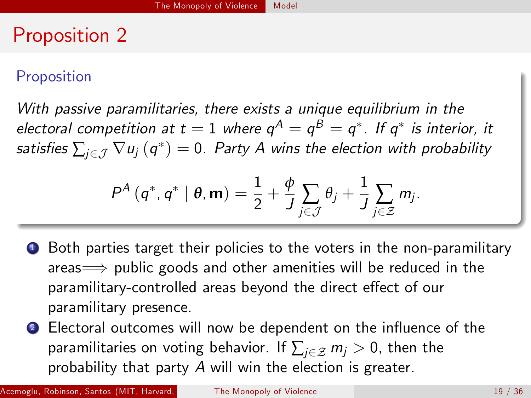### Proposition 2

#### Proposition

With passive paramilitaries, there exists a unique equilibrium in the electoral competition at  $t=1$  where  $\mathsf{q}^\mathsf{A}=\mathsf{q}^\mathsf{B}=\mathsf{q}^*$ . If  $\mathsf{q}^*$  is interior, it satisfies  $\sum_{j\in\mathcal{J}}\nabla u_j\left(q^*\right)=0.$  Party A wins the election with probability

$$
P^{A}(\boldsymbol{q}^{*},\boldsymbol{q}^{*} \mid \boldsymbol{\theta},\mathbf{m})=\frac{1}{2}+\frac{\phi}{J}\sum_{j\in\mathcal{J}}\theta_{j}+\frac{1}{J}\sum_{j\in\mathcal{Z}}m_{j}.
$$

**4** Both parties target their policies to the voters in the non-paramilitary areas $\implies$  public goods and other amenities will be reduced in the paramilitary-controlled areas beyond the direct effect of our paramilitary presence.

**2** Electoral outcomes will now be dependent on the influence of the paramilitaries on voting behavior. If  $\sum_{i\in\mathcal{Z}} m_i > 0$ , then the probability that party A will win the election is greater.

Acemoglu, Robinson, Santos (MIT, Harvard, Yale) [The Monopoly of Violence](#page-0-0) 19 / 19 / 36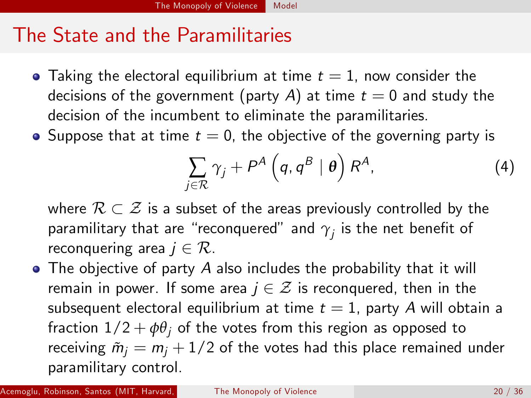#### The State and the Paramilitaries

- Taking the electoral equilibrium at time  $t = 1$ , now consider the decisions of the government (party A) at time  $t = 0$  and study the decision of the incumbent to eliminate the paramilitaries.
- Suppose that at time  $t = 0$ , the objective of the governing party is

$$
\sum_{j\in\mathcal{R}}\gamma_j+P^A\left(q,q^B\mid\boldsymbol{\theta}\right)R^A,\tag{4}
$$

where  $\mathcal{R} \subset \mathcal{Z}$  is a subset of the areas previously controlled by the paramilitary that are "reconquered" and  $\gamma_j$  is the net benefit of reconquering area  $j \in \mathcal{R}$ .

• The objective of party A also includes the probability that it will remain in power. If some area  $j \in \mathcal{Z}$  is reconquered, then in the subsequent electoral equilibrium at time  $t = 1$ , party A will obtain a fraction  $1/2 + \phi \theta_i$  of the votes from this region as opposed to receiving  $\tilde{m}_i = m_i + 1/2$  of the votes had this place remained under paramilitary control.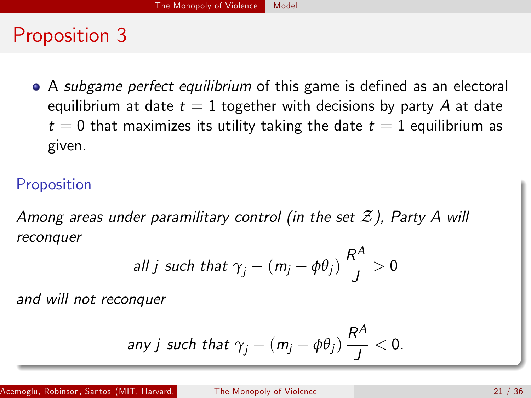### Proposition 3

 $\bullet$  A subgame perfect equilibrium of this game is defined as an electoral equilibrium at date  $t = 1$  together with decisions by party A at date  $t = 0$  that maximizes its utility taking the date  $t = 1$  equilibrium as given.

#### Proposition

Among areas under paramilitary control (in the set  $\mathcal Z$ ). Party A will reconquer

$$
\text{all } j \text{ such that } \gamma_j - (m_j - \phi \theta_j) \frac{R^A}{J} > 0
$$

and will not reconquer

any j such that 
$$
\gamma_j - (m_j - \phi \theta_j) \frac{R^A}{J} < 0
$$
.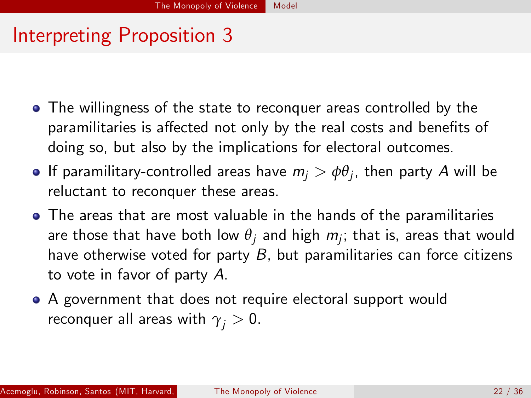# Interpreting Proposition 3

- The willingness of the state to reconquer areas controlled by the paramilitaries is affected not only by the real costs and benefits of doing so, but also by the implications for electoral outcomes.
- If paramilitary-controlled areas have  $m_j > \phi \theta_j$ , then party  $A$  will be reluctant to reconquer these areas.
- The areas that are most valuable in the hands of the paramilitaries are those that have both low  $\theta_j$  and high  $m_j;$  that is, areas that would have otherwise voted for party  $B$ , but paramilitaries can force citizens to vote in favor of party A.
- A government that does not require electoral support would reconquer all areas with  $\gamma_i > 0$ .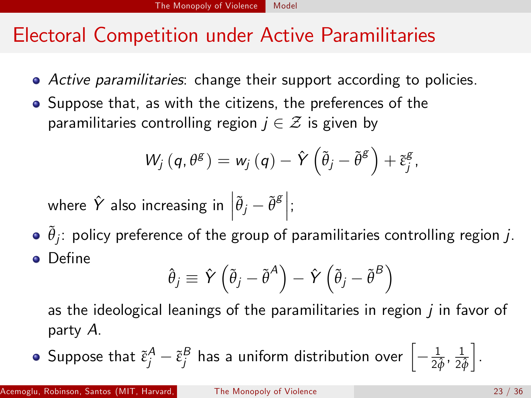### Electoral Competition under Active Paramilitaries

- Active paramilitaries: change their support according to policies.
- Suppose that, as with the citizens, the preferences of the paramilitaries controlling region  $j \in \mathcal{Z}$  is given by

$$
W_j(q, \theta^g) = w_j(q) - \hat{Y}(\tilde{\theta}_j - \tilde{\theta}^g) + \tilde{\epsilon}_j^g,
$$

where  $\hat{Y}$  also increasing in  $\left|\tilde{\theta}_j - \tilde{\theta}^{\text{g}}\right|$ ;

 $\tilde{\theta}_j$ : policy preference of the group of paramilitaries controlling region  $j$ . **o** Define

$$
\hat{\theta}_{j} \equiv \hat{Y} \left( \tilde{\theta}_{j} - \tilde{\theta}^{A} \right) - \hat{Y} \left( \tilde{\theta}_{j} - \tilde{\theta}^{B} \right)
$$

as the ideological leanings of the paramilitaries in region  *in favor of* party A.

Suppose that  $\tilde{\epsilon}^A_j - \tilde{\epsilon}^B_j$  has a uniform distribution over  $\left[-\frac{1}{2\hat{\phi}},\frac{1}{2\hat{\phi}}\right]$ i .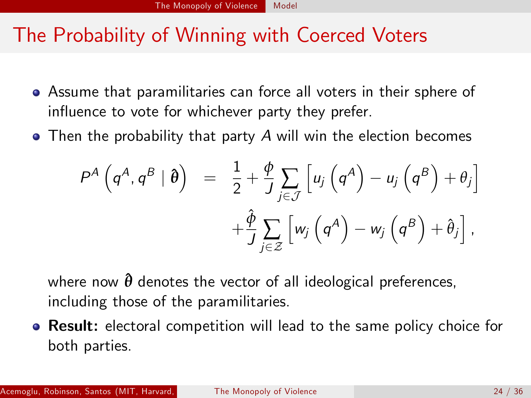#### The Probability of Winning with Coerced Voters

- Assume that paramilitaries can force all voters in their sphere of influence to vote for whichever party they prefer.
- Then the probability that party A will win the election becomes

$$
P^{A}(\boldsymbol{q}^{A},\boldsymbol{q}^{B}|\boldsymbol{\theta}) = \frac{1}{2} + \frac{\phi}{J}\sum_{j\in\mathcal{J}}\left[u_{j}(\boldsymbol{q}^{A}) - u_{j}(\boldsymbol{q}^{B}) + \theta_{j}\right] + \frac{\hat{\phi}}{J}\sum_{j\in\mathcal{Z}}\left[w_{j}(\boldsymbol{q}^{A}) - w_{j}(\boldsymbol{q}^{B}) + \hat{\theta}_{j}\right],
$$

where now  $\hat{\theta}$  denotes the vector of all ideological preferences, including those of the paramilitaries.

**• Result:** electoral competition will lead to the same policy choice for both parties.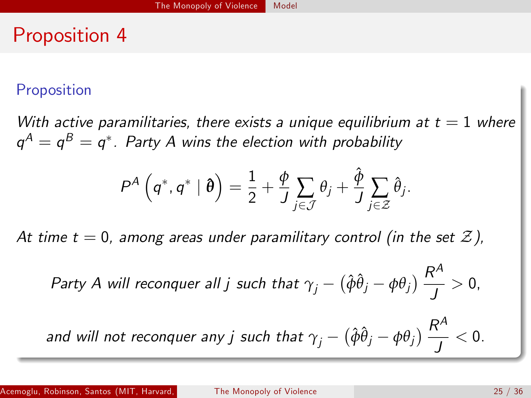#### Proposition 4

#### Proposition

With active paramilitaries, there exists a unique equilibrium at  $t = 1$  where  $\mathsf{q}^\mathcal{A}=\mathsf{q}^\mathcal{B}=\mathsf{q}^*$  . Party A wins the election with probability

$$
P^{A}\left(q^{*}, q^{*} | \boldsymbol{\theta}\right) = \frac{1}{2} + \frac{\phi}{J} \sum_{j \in \mathcal{J}} \theta_{j} + \frac{\hat{\phi}}{J} \sum_{j \in \mathcal{Z}} \hat{\theta}_{j}.
$$

At time  $t = 0$ , among areas under paramilitary control (in the set Z),

*Party A will reconquer all j such that* 
$$
\gamma_j - (\hat{\phi}\hat{\theta}_j - \phi\theta_j) \frac{R^A}{J} > 0
$$
,

and will not reconquer any  $j$  such that  $\gamma_j - \left( \hat{\phi} \hat{\theta}_j - \phi \theta_j \right) \frac{R^A}{I}$  $\frac{1}{J}$  < 0.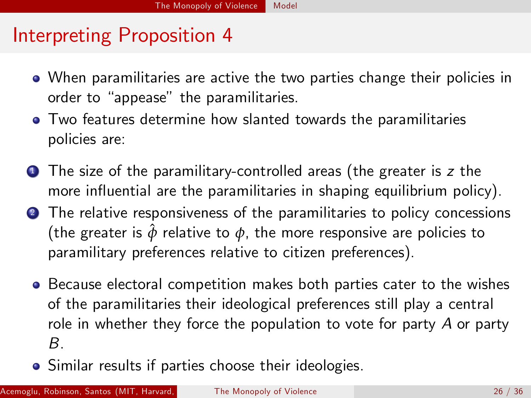#### Interpreting Proposition 4

- When paramilitaries are active the two parties change their policies in order to "appease" the paramilitaries.
- **•** Two features determine how slanted towards the paramilitaries policies are:
- **1** The size of the paramilitary-controlled areas (the greater is z the more influential are the paramilitaries in shaping equilibrium policy).
- **2** The relative responsiveness of the paramilitaries to policy concessions (the greater is  $\hat{\phi}$  relative to  $\phi$ , the more responsive are policies to paramilitary preferences relative to citizen preferences).
	- **•** Because electoral competition makes both parties cater to the wishes of the paramilitaries their ideological preferences still play a central role in whether they force the population to vote for party  $A$  or party B.
	- Similar results if parties choose their ideologies.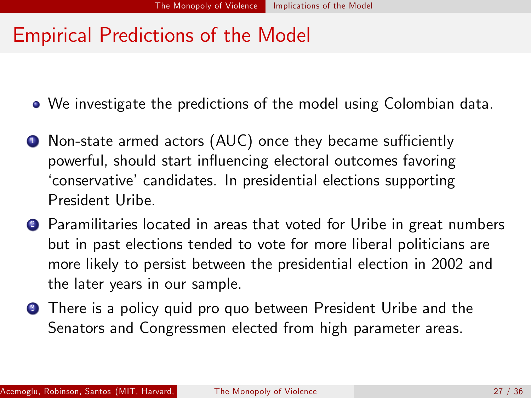#### Empirical Predictions of the Model

We investigate the predictions of the model using Colombian data.

- $\bullet$  Non-state armed actors (AUC) once they became sufficiently powerful, should start influencing electoral outcomes favoring ëconservativeícandidates. In presidential elections supporting President Uribe.
- <sup>2</sup> Paramilitaries located in areas that voted for Uribe in great numbers but in past elections tended to vote for more liberal politicians are more likely to persist between the presidential election in 2002 and the later years in our sample.
- **3** There is a policy quid pro quo between President Uribe and the Senators and Congressmen elected from high parameter areas.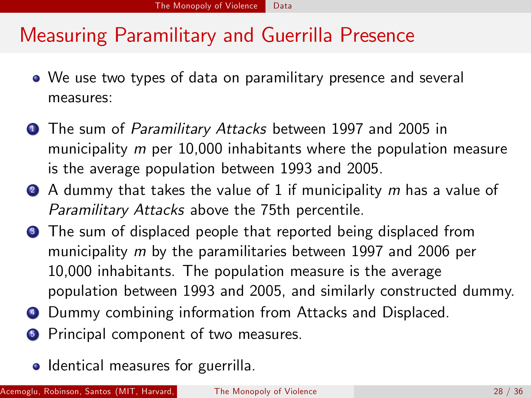## Measuring Paramilitary and Guerrilla Presence

- We use two types of data on paramilitary presence and several measures:
- **1** The sum of *Paramilitary Attacks* between 1997 and 2005 in municipality *m* per 10,000 inhabitants where the population measure is the average population between 1993 and 2005.
- $\bullet$  A dummy that takes the value of 1 if municipality m has a value of Paramilitary Attacks above the 75th percentile.
- **3** The sum of displaced people that reported being displaced from municipality m by the paramilitaries between 1997 and 2006 per 10,000 inhabitants. The population measure is the average population between 1993 and 2005, and similarly constructed dummy.
- <sup>4</sup> Dummy combining information from Attacks and Displaced.
- **5** Principal component of two measures.
	- Identical measures for guerrilla.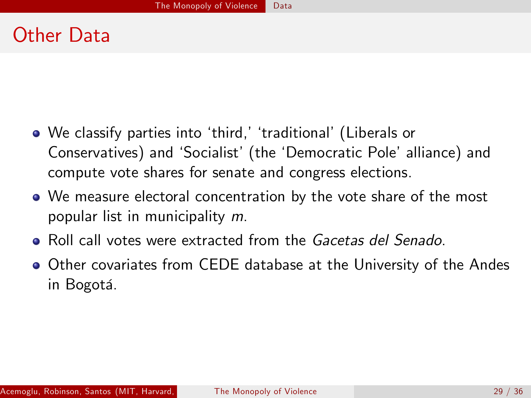# Figure A1: Guerrilla Attacks, 1997-2005

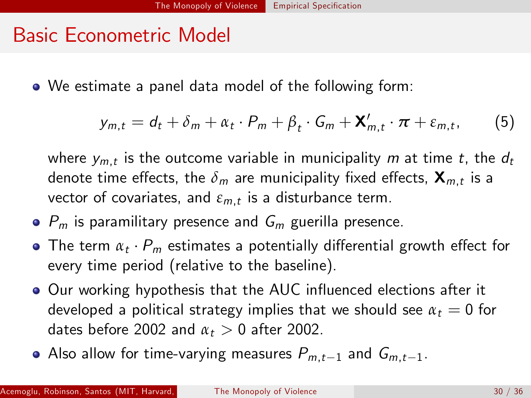### Other Data

- We classify parties into 'third,' 'traditional' (Liberals or Conservatives) and 'Socialist' (the 'Democratic Pole' alliance) and compute vote shares for senate and congress elections.
- We measure electoral concentration by the vote share of the most popular list in municipality m.
- Roll call votes were extracted from the Gacetas del Senado.
- Other covariates from CEDE database at the University of the Andes in Bogotá.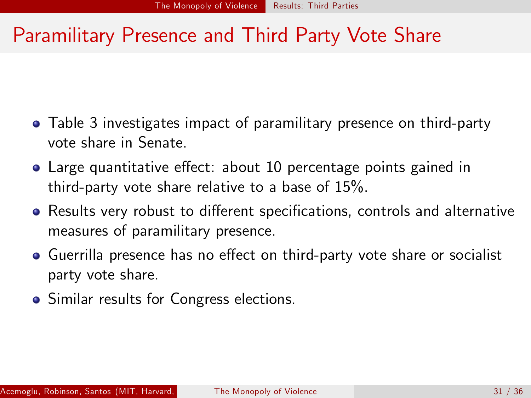#### Basic Econometric Model

We estimate a panel data model of the following form:

$$
y_{m,t} = d_t + \delta_m + \alpha_t \cdot P_m + \beta_t \cdot G_m + \mathbf{X}'_{m,t} \cdot \boldsymbol{\pi} + \varepsilon_{m,t},
$$
 (5)

where  $y_{m,t}$  is the outcome variable in municipality  $m$  at time  $t,$  the  $d_t$ denote time effects, the  ${\delta}_m$  are municipality fixed effects,  $\mathbf{X}_{m,t}$  is a vector of covariates, and  $\varepsilon_{m,t}$  is a disturbance term.

- $\bullet$   $P_m$  is paramilitary presence and  $G_m$  guerilla presence.
- The term  $\alpha_t \cdot P_m$  estimates a potentially differential growth effect for every time period (relative to the baseline).
- Our working hypothesis that the AUC influenced elections after it developed a political strategy implies that we should see  $\alpha_t = 0$  for dates before 2002 and  $\alpha_t > 0$  after 2002.
- Also allow for time-varying measures  $P_{m,t-1}$  and  $G_{m,t-1}$ .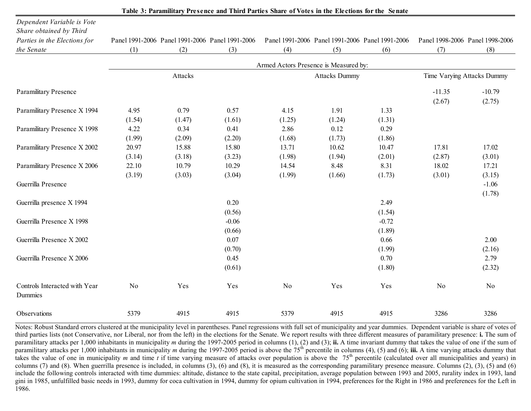#### Paramilitary Presence and Third Party Vote Share

- Table 3 investigates impact of paramilitary presence on third-party vote share in Senate.
- Large quantitative effect: about 10 percentage points gained in third-party vote share relative to a base of  $15\%$ .
- Results very robust to different specifications, controls and alternative measures of paramilitary presence.
- Guerrilla presence has no effect on third-party vote share or socialist party vote share.
- Similar results for Congress elections.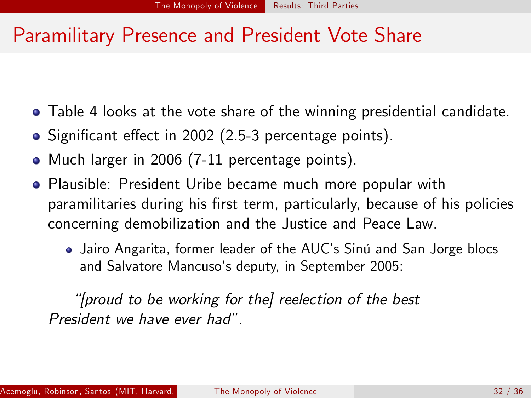| Table 3: Paramilitary Presence and Third Parties Share of Votes in the Elections for the Senate |                |         |                                                 |                                       |                      |                                                 |                |                                 |  |  |
|-------------------------------------------------------------------------------------------------|----------------|---------|-------------------------------------------------|---------------------------------------|----------------------|-------------------------------------------------|----------------|---------------------------------|--|--|
| Dependent Variable is Vote<br>Share obtained by Third                                           |                |         |                                                 |                                       |                      |                                                 |                |                                 |  |  |
| Parties in the Elections for                                                                    |                |         | Panel 1991-2006 Panel 1991-2006 Panel 1991-2006 |                                       |                      | Panel 1991-2006 Panel 1991-2006 Panel 1991-2006 |                | Panel 1998-2006 Panel 1998-2006 |  |  |
| the Senate                                                                                      | (1)            | (2)     | (3)                                             | (4)                                   | (5)                  | (6)                                             | (7)            | (8)                             |  |  |
|                                                                                                 |                |         |                                                 | Armed Actors Presence is Measured by: |                      |                                                 |                |                                 |  |  |
|                                                                                                 |                | Attacks |                                                 |                                       | <b>Attacks Dummy</b> |                                                 |                | Time Varying Attacks Dummy      |  |  |
| <b>Paramilitary Presence</b>                                                                    |                |         |                                                 |                                       |                      |                                                 | $-11.35$       | $-10.79$                        |  |  |
|                                                                                                 |                |         |                                                 |                                       |                      |                                                 | (2.67)         | (2.75)                          |  |  |
| Paramilitary Presence X 1994                                                                    | 4.95           | 0.79    | 0.57                                            | 4.15                                  | 1.91                 | 1.33                                            |                |                                 |  |  |
|                                                                                                 | (1.54)         | (1.47)  | (1.61)                                          | (1.25)                                | (1.24)               | (1.31)                                          |                |                                 |  |  |
| Paramilitary Presence X 1998                                                                    | 4.22           | 0.34    | 0.41                                            | 2.86                                  | 0.12                 | 0.29                                            |                |                                 |  |  |
|                                                                                                 | (1.99)         | (2.09)  | (2.20)                                          | (1.68)                                | (1.73)               | (1.86)                                          |                |                                 |  |  |
| Paramilitary Presence X 2002                                                                    | 20.97          | 15.88   | 15.80                                           | 13.71                                 | 10.62                | 10.47                                           | 17.81          | 17.02                           |  |  |
|                                                                                                 | (3.14)         | (3.18)  | (3.23)                                          | (1.98)                                | (1.94)               | (2.01)                                          | (2.87)         | (3.01)                          |  |  |
| Paramilitary Presence X 2006                                                                    | 22.10          | 10.79   | 10.29                                           | 14.54                                 | 8.48                 | 8.31                                            | 18.02          | 17.21                           |  |  |
|                                                                                                 | (3.19)         | (3.03)  | (3.04)                                          | (1.99)                                | (1.66)               | (1.73)                                          | (3.01)         | (3.15)                          |  |  |
| Guerrilla Presence                                                                              |                |         |                                                 |                                       |                      |                                                 |                | $-1.06$                         |  |  |
|                                                                                                 |                |         |                                                 |                                       |                      |                                                 |                | (1.78)                          |  |  |
| Guerrilla presence X 1994                                                                       |                |         | 0.20                                            |                                       |                      | 2.49                                            |                |                                 |  |  |
|                                                                                                 |                |         | (0.56)                                          |                                       |                      | (1.54)                                          |                |                                 |  |  |
| Guerrilla Presence X 1998                                                                       |                |         | $-0.06$                                         |                                       |                      | $-0.72$                                         |                |                                 |  |  |
|                                                                                                 |                |         | (0.66)                                          |                                       |                      | (1.89)                                          |                |                                 |  |  |
| Guerrilla Presence X 2002                                                                       |                |         | 0.07                                            |                                       |                      | 0.66                                            |                | 2.00                            |  |  |
|                                                                                                 |                |         | (0.70)                                          |                                       |                      | (1.99)                                          |                | (2.16)                          |  |  |
| Guerrilla Presence X 2006                                                                       |                |         | 0.45                                            |                                       |                      | 0.70                                            |                | 2.79                            |  |  |
|                                                                                                 |                |         | (0.61)                                          |                                       |                      | (1.80)                                          |                | (2.32)                          |  |  |
| Controls Interacted with Year<br>Dummies                                                        | N <sub>o</sub> | Yes     | Yes                                             | N <sub>o</sub>                        | Yes                  | Yes                                             | N <sub>o</sub> | N <sub>o</sub>                  |  |  |
| Observations                                                                                    | 5379           | 4915    | 4915                                            | 5379                                  | 4915                 | 4915                                            | 3286           | 3286                            |  |  |

Notes: Robust Standard errors clustered at the municipality level in parentheses. Panel regressions with full set of municipality and year dummies. Dependent variable is share of votes of third parties lists (not Conservative, nor Liberal, nor from the left) in the elections for the Senate. We report results with three different measures of paramilitary presence: **i.** The sum of paramilitary attacks per 1,000 inhabitants in municipality *m* during the 1997-2005 period in columns (1), (2) and (3); **ii.** A time invariant dummy that takes the value of one if the sum of paramilitary attacks per 1,000 inhabitants in municipality *m* during the 1997-2005 period is above the 75<sup>th</sup> percentile in columns (4), (5) and (6); **iii.** A time varying attacks dummy that takes the value of one in municipality *m* and time *t* if time varying measure of attacks over population is above the 75<sup>th</sup> percentile (calculated over all municipalities and years) in columns (7) and (8). When guerrilla presence is included, in columns (3), (6) and (8), it is measured as the corresponding paramilitary presence measure. Columns (2), (3), (5) and (6) include the following controls interacted with time dummies: altitude, distance to the state capital, precipitation, average population between 1993 and 2005, rurality index in 1993, land gini in 1985, unfulfilled basic needs in 1993, dummy for coca cultivation in 1994, dummy for opium cultivation in 1994, preferences for the Right in 1986 and preferences for the Left in 1986.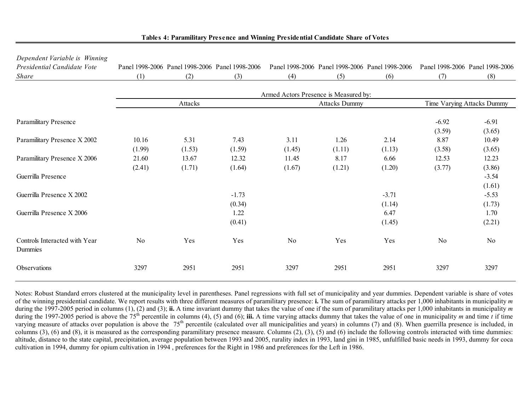#### Paramilitary Presence and President Vote Share

- Table 4 looks at the vote share of the winning presidential candidate.
- Significant effect in 2002 (2.5-3 percentage points).
- Much larger in 2006 (7-11 percentage points).
- Plausible: President Uribe became much more popular with paramilitaries during his first term, particularly, because of his policies concerning demobilization and the Justice and Peace Law.
	- Jairo Angarita, former leader of the AUC's Sinú and San Jorge blocs and Salvatore Mancuso's deputy, in September 2005:

ì[proud to be working for the] reelection of the best President we have ever had".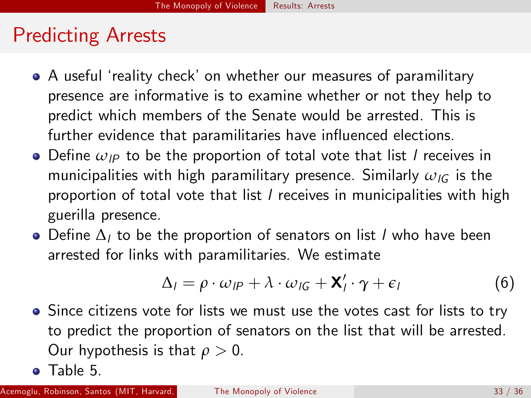| Dependent Variable is Winning            |        |         |                                                 |                                       |                      |                                                 |                |                                 |
|------------------------------------------|--------|---------|-------------------------------------------------|---------------------------------------|----------------------|-------------------------------------------------|----------------|---------------------------------|
| Presidential Candidate Vote              |        |         | Panel 1998-2006 Panel 1998-2006 Panel 1998-2006 |                                       |                      | Panel 1998-2006 Panel 1998-2006 Panel 1998-2006 |                | Panel 1998-2006 Panel 1998-2006 |
| <i>Share</i>                             | (1)    | (2)     | (3)                                             | (4)                                   | (5)                  | (6)                                             | (7)            | (8)                             |
|                                          |        |         |                                                 | Armed Actors Presence is Measured by: |                      |                                                 |                |                                 |
|                                          |        | Attacks |                                                 |                                       | <b>Attacks Dummy</b> |                                                 |                | Time Varying Attacks Dummy      |
| <b>Paramilitary Presence</b>             |        |         |                                                 |                                       |                      |                                                 | $-6.92$        | $-6.91$                         |
| Paramilitary Presence X 2002             | 10.16  | 5.31    | 7.43                                            | 3.11                                  | 1.26                 | 2.14                                            | (3.59)<br>8.87 | (3.65)<br>10.49                 |
|                                          | (1.99) | (1.53)  | (1.59)                                          | (1.45)                                | (1.11)               | (1.13)                                          | (3.58)         | (3.65)                          |
| Paramilitary Presence X 2006             | 21.60  | 13.67   | 12.32                                           | 11.45                                 | 8.17                 | 6.66                                            | 12.53          | 12.23                           |
| Guerrilla Presence                       | (2.41) | (1.71)  | (1.64)                                          | (1.67)                                | (1.21)               | (1.20)                                          | (3.77)         | (3.86)<br>$-3.54$               |
| Guerrilla Presence X 2002                |        |         | $-1.73$                                         |                                       |                      | $-3.71$                                         |                | (1.61)<br>$-5.53$               |
|                                          |        |         | (0.34)                                          |                                       |                      | (1.14)                                          |                | (1.73)                          |
| Guerrilla Presence X 2006                |        |         | 1.22<br>(0.41)                                  |                                       |                      | 6.47<br>(1.45)                                  |                | 1.70<br>(2.21)                  |
| Controls Interacted with Year<br>Dummies | No     | Yes     | Yes                                             | No                                    | Yes                  | Yes                                             | N <sub>o</sub> | No                              |
| Observations                             | 3297   | 2951    | 2951                                            | 3297                                  | 2951                 | 2951                                            | 3297           | 3297                            |

#### **Tables 4: Paramilitary Presence and Winning Presidential Candidate Share of Votes**

Notes: Robust Standard errors clustered at the municipality level in parentheses. Panel regressions with full set of municipality and year dummies. Dependent variable is share of votes of the winning presidential candidate. We report results with three different measures of paramilitary presence: **i.** The sum of paramilitary attacks per 1,000 inhabitants in municipality *m*during the 1997-2005 period in columns (1), (2) and (3); **ii.** A time invariant dummy that takes the value of one if the sum of paramilitary attacks per 1,000 inhabitants in municipality *m* during the 1997-2005 period is above the 75<sup>th</sup> percentile in columns (4), (5) and (6); **iii.** A time varying attacks dummy that takes the value of one in municipality *m* and time *t* if time varying measure of attacks over population is above the  $75<sup>th</sup>$  percentile (calculated over all municipalities and years) in columns (7) and (8). When guerrilla presence is included, in columns (3), (6) and (8), it is measured as the corresponding paramilitary presence measure. Columns (2), (3), (5) and (6) include the following controls interacted with time dummies: altitude, distance to the state capital, precipitation, average population between 1993 and 2005, rurality index in 1993, land gini in 1985, unfulfilled basic needs in 1993, dummy for coca cultivation in 1994, dummy for opium cultivation in 1994 , preferences for the Right in 1986 and preferences for the Left in 1986.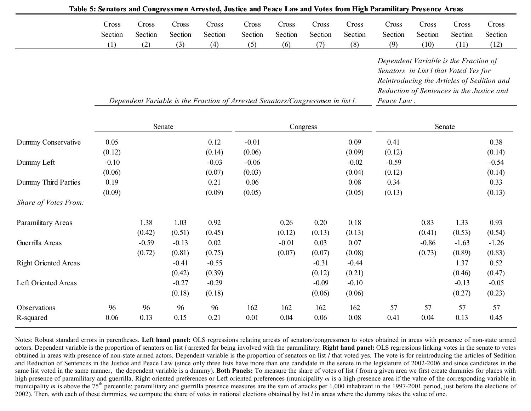#### Predicting Arrests

- A useful 'reality check' on whether our measures of paramilitary presence are informative is to examine whether or not they help to predict which members of the Senate would be arrested. This is further evidence that paramilitaries have influenced elections.
- $\bullet$  Define  $\omega_{IP}$  to be the proportion of total vote that list *l* receives in municipalities with high paramilitary presence. Similarly  $ω$ <sub>IG</sub> is the proportion of total vote that list *l* receives in municipalities with high guerilla presence.
- Define  $\Delta_l$  to be the proportion of senators on list *l* who have been arrested for links with paramilitaries. We estimate

$$
\Delta_{l} = \rho \cdot \omega_{l} + \lambda \cdot \omega_{l} + \mathbf{X}_{l}^{\prime} \cdot \boldsymbol{\gamma} + \epsilon_{l}
$$
 (6)

- Since citizens vote for lists we must use the votes cast for lists to try to predict the proportion of senators on the list that will be arrested. Our hypothesis is that *ρ* > 0.
- **o** Table 5.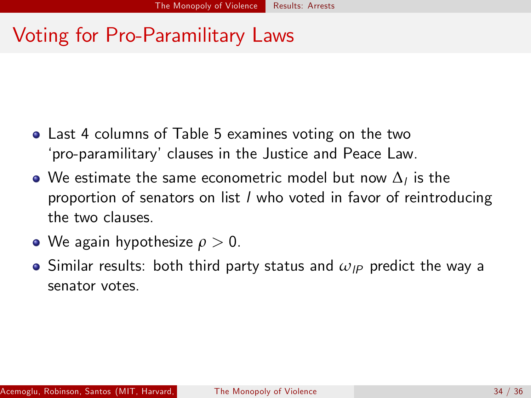|                             | галс э. Эспасогу анд Сондгеуунсн Аггеусси, Jusuce анд геасс Law анд Yotes понгтиди гаганниагу гтеусисс Агсау |                |                |                   |                                                                                |                |                |                   |                   |                 |                                                                                                                                                                           |                 |
|-----------------------------|--------------------------------------------------------------------------------------------------------------|----------------|----------------|-------------------|--------------------------------------------------------------------------------|----------------|----------------|-------------------|-------------------|-----------------|---------------------------------------------------------------------------------------------------------------------------------------------------------------------------|-----------------|
|                             | Cross                                                                                                        | Cross          | Cross          | Cross             | Cross                                                                          | Cross          | Cross          | Cross             | Cross             | Cross           | Cross                                                                                                                                                                     | Cross           |
|                             | Section<br>(1)                                                                                               | Section<br>(2) | Section<br>(3) | Section<br>(4)    | Section<br>(5)                                                                 | Section<br>(6) | Section<br>(7) | Section<br>(8)    | Section<br>(9)    | Section<br>(10) | Section<br>(11)                                                                                                                                                           | Section<br>(12) |
|                             |                                                                                                              |                |                |                   | Dependent Variable is the Fraction of Arrested Senators/Congressmen in list l. |                |                |                   | Peace Law.        |                 | Dependent Variable is the Fraction of<br>Senators in List I that Voted Yes for<br>Reintroducing the Articles of Sedition and<br>Reduction of Sentences in the Justice and |                 |
|                             | Senate<br>Congress                                                                                           |                |                |                   |                                                                                |                |                |                   | Senate            |                 |                                                                                                                                                                           |                 |
| Dummy Conservative          | 0.05                                                                                                         |                |                | 0.12              | $-0.01$                                                                        |                |                | 0.09              | 0.41              |                 |                                                                                                                                                                           | 0.38            |
|                             | (0.12)                                                                                                       |                |                | (0.14)            | (0.06)                                                                         |                |                | (0.09)            | (0.12)            |                 |                                                                                                                                                                           | (0.14)          |
| Dummy Left                  | $-0.10$<br>(0.06)                                                                                            |                |                | $-0.03$<br>(0.07) | $-0.06$<br>(0.03)                                                              |                |                | $-0.02$<br>(0.04) | $-0.59$<br>(0.12) |                 |                                                                                                                                                                           | $-0.54$         |
| Dummy Third Parties         | 0.19                                                                                                         |                |                | 0.21              | 0.06                                                                           |                |                | 0.08              | 0.34              |                 |                                                                                                                                                                           | (0.14)<br>0.33  |
|                             | (0.09)                                                                                                       |                |                | (0.09)            | (0.05)                                                                         |                |                | (0.05)            | (0.13)            |                 |                                                                                                                                                                           | (0.13)          |
| Share of Votes From:        |                                                                                                              |                |                |                   |                                                                                |                |                |                   |                   |                 |                                                                                                                                                                           |                 |
| Paramilitary Areas          |                                                                                                              | 1.38<br>(0.42) | 1.03<br>(0.51) | 0.92<br>(0.45)    |                                                                                | 0.26<br>(0.12) | 0.20<br>(0.13) | 0.18<br>(0.13)    |                   | 0.83<br>(0.41)  | 1.33<br>(0.53)                                                                                                                                                            | 0.93<br>(0.54)  |
| Guerrilla Areas             |                                                                                                              | $-0.59$        | $-0.13$        | 0.02              |                                                                                | $-0.01$        | 0.03           | 0.07              |                   | $-0.86$         | $-1.63$                                                                                                                                                                   | $-1.26$         |
|                             |                                                                                                              | (0.72)         | (0.81)         | (0.75)            |                                                                                | (0.07)         | (0.07)         | (0.08)            |                   | (0.73)          | (0.89)                                                                                                                                                                    | (0.83)          |
| <b>Right Oriented Areas</b> |                                                                                                              |                | $-0.41$        | $-0.55$           |                                                                                |                | $-0.31$        | $-0.44$           |                   |                 | 1.37                                                                                                                                                                      | 0.52            |
|                             |                                                                                                              |                | (0.42)         | (0.39)            |                                                                                |                | (0.12)         | (0.21)            |                   |                 | (0.46)                                                                                                                                                                    | (0.47)          |
| Left Oriented Areas         |                                                                                                              |                | $-0.27$        | $-0.29$           |                                                                                |                | $-0.09$        | $-0.10$           |                   |                 | $-0.13$                                                                                                                                                                   | $-0.05$         |
|                             |                                                                                                              |                | (0.18)         | (0.18)            |                                                                                |                | (0.06)         | (0.06)            |                   |                 | (0.27)                                                                                                                                                                    | (0.23)          |
| Observations                | 96                                                                                                           | 96             | 96             | 96                | 162                                                                            | 162            | 162            | 162               | 57                | 57              | 57                                                                                                                                                                        | 57              |
| R-squared                   | 0.06                                                                                                         | 0.13           | 0.15           | 0.21              | 0.01                                                                           | 0.04           | 0.06           | 0.08              | 0.41              | 0.04            | 0.13                                                                                                                                                                      | 0.45            |

**Table 5: Senators and Congressmen Arrested, Justice and Peace Law and Votes from High Paramilitary Presence Areas**

Notes: Robust standard errors in parentheses. **Left hand panel:** OLS regressions relating arrests of senators/congressmen to votes obtained in areas with presence of non-state armed actors. Dependent variable is the proportion of senators on list *l* arrested for being involved with the paramilitary. **Right hand panel:** OLS regressions linking votes in the senate to votes obtained in areas with presence of non-state armed actors. Dependent variable is the proportion of senators on list  $\overline{l}$  that voted yes. The vote is for reintroducing the articles of Sedition and Reduction of Sentences in the Justice and Peace Law (since only three lists have more than one candidate in the senate in the legislature of 2002-2006 and since candidates in the same list voted in the same manner, the dependent variable is a dummy). Both Panels: To measure the share of votes of list *l* from a given area we first create dummies for places with high presence of paramilitary and guerrilla, Right oriented preferences or Left oriented preferences (municipality *m* is a high presence area if the value of the corresponding variable in municipality *m* is above the 75<sup>th</sup> percentile; paramilitary and guerrilla presence measures are the sum of attacks per 1,000 inhabitant in the 1997-2001 period, just before the elections of 2002). Then, with each of these dummies, we compute the share of votes in national elections obtained by list *l* in areas where the dummy takes the value of one.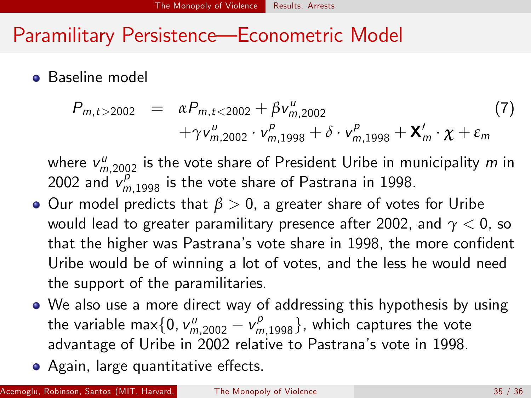# Voting for Pro-Paramilitary Laws

- Last 4 columns of Table 5 examines voting on the two ëpro-paramilitaryíclauses in the Justice and Peace Law.
- We estimate the same econometric model but now  $\Delta_l$  is the proportion of senators on list l who voted in favor of reintroducing the two clauses.
- We again hypothesize  $\rho > 0$ .
- $\bullet$  Similar results: both third party status and  $\omega_{IP}$  predict the way a senator votes.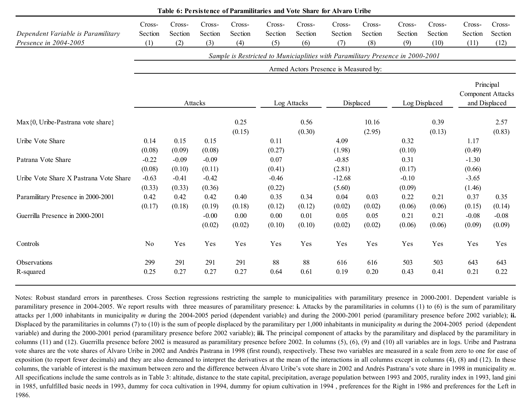#### Paramilitary Persistence—Econometric Model

#### **•** Baseline model

$$
P_{m,t>2002} = \alpha P_{m,t<2002} + \beta v_{m,2002}^{\mu}
$$
\n
$$
+ \gamma v_{m,2002}^{\mu} \cdot v_{m,1998}^{\rho} + \delta \cdot v_{m,1998}^{\rho} + \mathbf{X}'_{m} \cdot \mathbf{\chi} + \varepsilon_{m}
$$
\n(7)

where  $v_{m,2002}^u$  is the vote share of President Uribe in municipality  $m$  in 2002 and  $v_{m,1998}^p$  is the vote share of Pastrana in 1998.

- **•** Our model predicts that  $β > 0$ , a greater share of votes for Uribe would lead to greater paramilitary presence after 2002, and *γ* < 0, so that the higher was Pastrana's vote share in 1998, the more confident Uribe would be of winning a lot of votes, and the less he would need the support of the paramilitaries.
- We also use a more direct way of addressing this hypothesis by using the variable max $\{0, v^{\mu}_{m,2002} - v^{\rho}_{m,1998}\},$  which captures the vote advantage of Uribe in 2002 relative to Pastranaís vote in 1998.
- Again, large quantitative effects.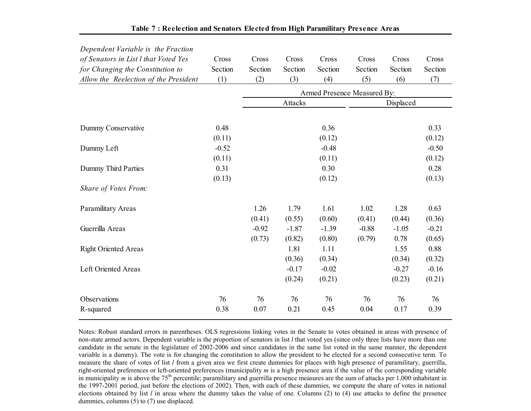| Table 6: Persistence of Paramilitaries and Vote Share for Alvaro Uribe |                          |                                                                                                                         |                          |                          |                            |                          |                          |                          |                                                        |                           |                           |                           |
|------------------------------------------------------------------------|--------------------------|-------------------------------------------------------------------------------------------------------------------------|--------------------------|--------------------------|----------------------------|--------------------------|--------------------------|--------------------------|--------------------------------------------------------|---------------------------|---------------------------|---------------------------|
| Dependent Variable is Paramilitary<br>Presence in 2004-2005            | Cross-<br>Section<br>(1) | Cross-<br>Section<br>(2)                                                                                                | Cross-<br>Section<br>(3) | Cross-<br>Section<br>(4) | Cross-<br>Section<br>(5)   | Cross-<br>Section<br>(6) | Cross-<br>Section<br>(7) | Cross-<br>Section<br>(8) | Cross-<br>Section<br>(9)                               | Cross-<br>Section<br>(10) | Cross-<br>Section<br>(11) | Cross-<br>Section<br>(12) |
|                                                                        |                          |                                                                                                                         |                          |                          |                            |                          |                          |                          |                                                        |                           |                           |                           |
|                                                                        |                          | Sample is Restricted to Municiaplities with Paramilitary Presence in 2000-2001<br>Armed Actors Presence is Measured by: |                          |                          |                            |                          |                          |                          |                                                        |                           |                           |                           |
|                                                                        | Attacks<br>Log Attacks   |                                                                                                                         |                          |                          | Displaced<br>Log Displaced |                          |                          |                          | Principal<br><b>Component Attacks</b><br>and Displaced |                           |                           |                           |
| $Max\{0, Uribe-Pastrana vote share\}$                                  |                          |                                                                                                                         |                          | 0.25<br>(0.15)           |                            | 0.56<br>(0.30)           |                          | 10.16<br>(2.95)          |                                                        | 0.39<br>(0.13)            |                           | 2.57<br>(0.83)            |
| Uribe Vote Share                                                       | 0.14<br>(0.08)           | 0.15<br>(0.09)                                                                                                          | 0.15<br>(0.08)           |                          | 0.11<br>(0.27)             |                          | 4.09<br>(1.98)           |                          | 0.32<br>(0.10)                                         |                           | 1.17<br>(0.49)            |                           |
| Patrana Vote Share                                                     | $-0.22$<br>(0.08)        | $-0.09$<br>(0.10)                                                                                                       | $-0.09$<br>(0.11)        |                          | 0.07<br>(0.41)             |                          | $-0.85$<br>(2.81)        |                          | 0.31<br>(0.17)                                         |                           | $-1.30$<br>(0.66)         |                           |
| Uribe Vote Share X Pastrana Vote Share                                 | $-0.63$<br>(0.33)        | $-0.41$<br>(0.33)                                                                                                       | $-0.42$<br>(0.36)        |                          | $-0.46$<br>(0.22)          |                          | $-12.68$<br>(5.60)       |                          | $-0.10$<br>(0.09)                                      |                           | $-3.65$<br>(1.46)         |                           |
| Paramilitary Presence in 2000-2001                                     | 0.42<br>(0.17)           | 0.42<br>(0.18)                                                                                                          | 0.42<br>(0.19)           | 0.40<br>(0.18)           | 0.35<br>(0.12)             | 0.34<br>(0.12)           | 0.04<br>(0.02)           | 0.03<br>(0.02)           | 0.22<br>(0.06)                                         | 0.21<br>(0.06)            | 0.37<br>(0.15)            | 0.35<br>(0.14)            |
| Guerrilla Presence in 2000-2001                                        |                          |                                                                                                                         | $-0.00$<br>(0.02)        | 0.00<br>(0.02)           | 0.00<br>(0.10)             | 0.01<br>(0.10)           | 0.05<br>(0.02)           | 0.05<br>(0.02)           | 0.21<br>(0.06)                                         | 0.21<br>(0.06)            | $-0.08$<br>(0.09)         | $-0.08$<br>(0.09)         |
| Controls                                                               | N <sub>0</sub>           | Yes                                                                                                                     | Yes                      | Yes                      | Yes                        | Yes                      | Yes                      | Yes                      | Yes                                                    | Yes                       | Yes                       | Yes                       |
| Observations<br>R-squared                                              | 299<br>0.25              | 291<br>0.27                                                                                                             | 291<br>0.27              | 291<br>0.27              | 88<br>0.64                 | 88<br>0.61               | 616<br>0.19              | 616<br>0.20              | 503<br>0.43                                            | 503<br>0.41               | 643<br>0.21               | 643<br>0.22               |

Notes: Robust standard errors in parentheses. Cross Section regressions restricting the sample to municipalities with paramilitary presence in 2000-2001. Dependent variable is paramilitary presence in 2004-2005. We report results with three measures of paramilitary presence: **i.** Attacks by the paramilitaries in columns (1) to (6) is the sum of paramilitary attacks per 1,000 inhabitants in municipality *m* during the 2004-2005 period (dependent variable) and during the 2000-2001 period (paramilitary presence before 2002 variable); **ii.**Displaced by the paramilitaries in columns (7) to (10) is the sum of people displaced by the paramilitary per 1,000 inhabitants in municipality *m* during the 2004-2005 period (dependent variable) and during the 2000-2001 period (paramilitary presence before 2002 variable); **iii.** The principal component of attacks by the paramilitary and displaced by the paramilitary in columns (11) and (12). Guerrilla presence before 2002 is measured as paramilitary presence before 2002. In columns (5), (6), (9) and (10) all variables are in logs. Uribe and Pastrana vote shares are the vote shares of Álvaro Uribe in 2002 and Andrés Pastrana in 1998 (first round), respectively. These two variables are measured in a scale from zero to one for ease of exposition (to report fewer decimals) and they are also demeaned to interpret the derivatives at the mean of the interactions in all columns except in columns (4), (8) and (12). In these columns, the variable of interest is the maximum between zero and the difference between Álvaro Uribe's vote share in 2002 and Andrés Pastrana's vote share in 1998 in municipality *<sup>m</sup>*. All specifications include the same controls as in Table 3: altitude, distance to the state capital, precipitation, average population between 1993 and 2005, rurality index in 1993, land gini in 1985, unfulfilled basic needs in 1993, dummy for coca cultivation in 1994, dummy for opium cultivation in 1994, preferences for the Right in 1986 and preferences for the Left in 1986.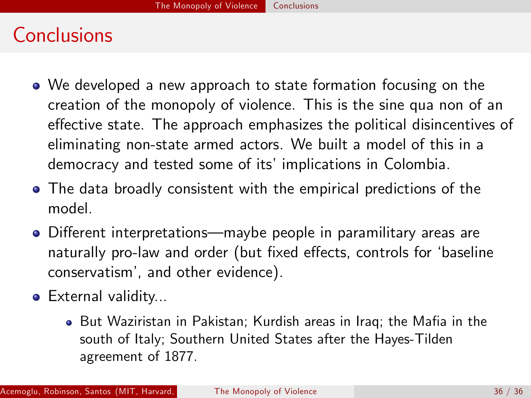| Dependent Variable is the Fraction    |         |         |         |                             |         |           |         |
|---------------------------------------|---------|---------|---------|-----------------------------|---------|-----------|---------|
| of Senators in List I that Voted Yes  | Cross   | Cross   | Cross   | Cross                       | Cross   | Cross     | Cross   |
| for Changing the Constitution to      | Section | Section | Section | Section                     | Section | Section   | Section |
| Allow the Reelection of the President | (1)     | (2)     | (3)     | (4)                         | (5)     | (6)       | (7)     |
|                                       |         |         |         | Armed Presence Measured By: |         |           |         |
|                                       |         |         | Attacks |                             |         | Displaced |         |
|                                       |         |         |         |                             |         |           |         |
| Dummy Conservative                    | 0.48    |         |         | 0.36                        |         |           | 0.33    |
|                                       | (0.11)  |         |         | (0.12)                      |         |           | (0.12)  |
| Dummy Left                            | $-0.52$ |         |         | $-0.48$                     |         |           | $-0.50$ |
|                                       | (0.11)  |         |         | (0.11)                      |         |           | (0.12)  |
| Dummy Third Parties                   | 0.31    |         |         | 0.30                        |         |           | 0.28    |
|                                       | (0.13)  |         |         | (0.12)                      |         |           | (0.13)  |
| Share of Votes From:                  |         |         |         |                             |         |           |         |
| <b>Paramilitary Areas</b>             |         | 1.26    | 1.79    | 1.61                        | 1.02    | 1.28      | 0.63    |
|                                       |         | (0.41)  | (0.55)  | (0.60)                      | (0.41)  | (0.44)    | (0.36)  |
| Guerrilla Areas                       |         | $-0.92$ | $-1.87$ | $-1.39$                     | $-0.88$ | $-1.05$   | $-0.21$ |
|                                       |         | (0.73)  | (0.82)  | (0.80)                      | (0.79)  | 0.78      | (0.65)  |
| <b>Right Oriented Areas</b>           |         |         | 1.81    | 1.11                        |         | 1.55      | 0.88    |
|                                       |         |         | (0.36)  | (0.34)                      |         | (0.34)    | (0.32)  |
| Left Oriented Areas                   |         |         | $-0.17$ | $-0.02$                     |         | $-0.27$   | $-0.16$ |
|                                       |         |         | (0.24)  | (0.21)                      |         | (0.23)    | (0.21)  |
| Observations                          | 76      | 76      | 76      | 76                          | 76      | 76        | 76      |
| R-squared                             | 0.38    | 0.07    | 0.21    | 0.45                        | 0.04    | 0.17      | 0.39    |
|                                       |         |         |         |                             |         |           |         |

#### **Table 7 : Reelection and Senators Elected from High Paramilitary Presence Areas**

Notes: Robust standard errors in parentheses. OLS regressions linking votes in the Senate to votes obtained in areas with presence of non-state armed actors. Dependent variable is the proportion of senators in list *l* that voted yes (since only three lists have more than one candidate in the senate in the legislature of 2002-2006 and since candidates in the same list voted in the same manner, the dependent variable is a dummy). The vote is for changing the constitution to allow the president to be elected for a second consecutive term. To measure the share of votes of list *l* from a given area we first create dummies for places with high presence of paramilitary, guerrilla, right-oriented preferences or left-oriented preferences (municipality *m* is a high presence area if the value of the corresponding variable in municipality *m* is above the 75<sup>th</sup> percentile; paramilitary and guerrilla presence measures are the sum of attacks per 1,000 inhabitant in the 1997-2001 period, just before the elections of 2002). Then, with each of these dummies, we compute the share of votes in national elections obtained by list *l* in areas where the dummy takes the value of one. Columns (2) to (4) use attacks to define the presence dummies, columns (5) to (7) use displaced.